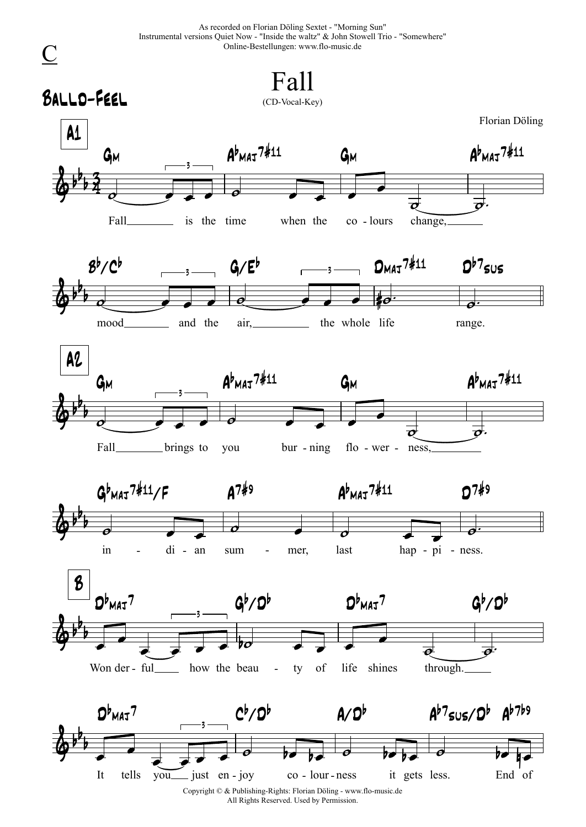As recorded on Florian Döling Sextet - "Morning Sun" Instrumental versions Quiet Now - "Inside the waltz" & John Stowell Trio - "Somewhere" Online-Bestellungen: www.flo-music.de



All Rights Reserved. Used by Permission.